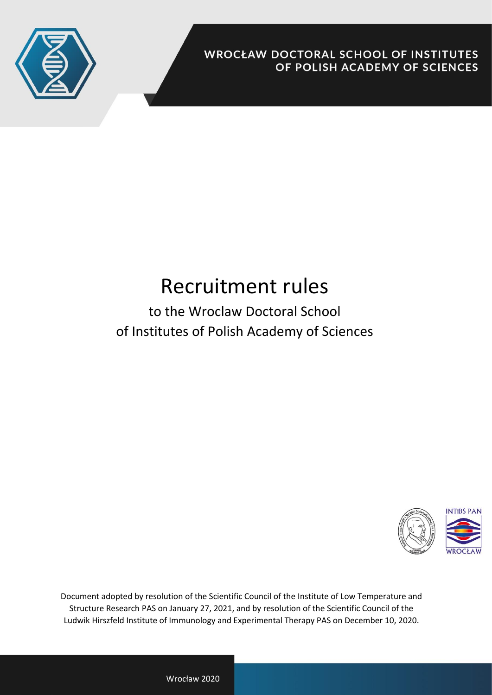

**WROCŁAW DOCTORAL SCHOOL OF INSTITUTES** OF POLISH ACADEMY OF SCIENCES

## Recruitment rules

to the Wroclaw Doctoral School of Institutes of Polish Academy of Sciences



Document adopted by resolution of the Scientific Council of the Institute of Low Temperature and Structure Research PAS on January 27, 2021, and by resolution of the Scientific Council of the Ludwik Hirszfeld Institute of Immunology and Experimental Therapy PAS on December 10, 2020.

Wrocław 2020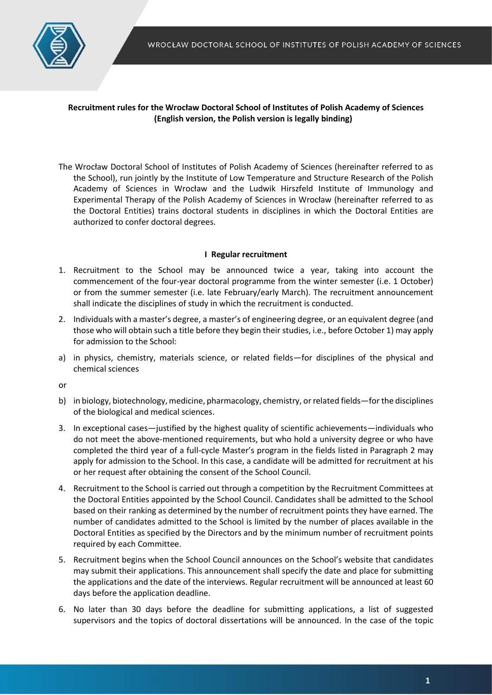

## **Recruitment rules for the Wrocław Doctoral School of Institutes of Polish Academy of Sciences (English version, the Polish version is legally binding)**

The Wrocław Doctoral School of Institutes of Polish Academy of Sciences (hereinafter referred to as the School), run jointly by the Institute of Low Temperature and Structure Research of the Polish Academy of Sciences in Wrocław and the Ludwik Hirszfeld Institute of Immunology and Experimental Therapy of the Polish Academy of Sciences in Wrocław (hereinafter referred to as the Doctoral Entities) trains doctoral students in disciplines in which the Doctoral Entities are authorized to confer doctoral degrees.

## **I Regular recruitment**

- 1. Recruitment to the School may be announced twice a year, taking into account the commencement of the four-year doctoral programme from the winter semester (i.e. 1 October) or from the summer semester (i.e. late February/early March). The recruitment announcement shall indicate the disciplines of study in which the recruitment is conducted.
- 2. Individuals with a master's degree, a master's of engineering degree, or an equivalent degree (and those who will obtain such a title before they begin their studies, i.e., before October 1) may apply for admission to the School:
- a) in physics, chemistry, materials science, or related fields—for disciplines of the physical and chemical sciences

or

- b) in biology, biotechnology, medicine, pharmacology, chemistry, or related fields—for the disciplines of the biological and medical sciences.
- 3. In exceptional cases—justified by the highest quality of scientific achievements—individuals who do not meet the above-mentioned requirements, but who hold a university degree or who have completed the third year of a full-cycle Master's program in the fields listed in Paragraph 2 may apply for admission to the School. In this case, a candidate will be admitted for recruitment at his or her request after obtaining the consent of the School Council.
- 4. Recruitment to the School is carried out through a competition by the Recruitment Committees at the Doctoral Entities appointed by the School Council. Candidates shall be admitted to the School based on their ranking as determined by the number of recruitment points they have earned. The number of candidates admitted to the School is limited by the number of places available in the Doctoral Entities as specified by the Directors and by the minimum number of recruitment points required by each Committee.
- 5. Recruitment begins when the School Council announces on the School's website that candidates may submit their applications. This announcement shall specify the date and place for submitting the applications and the date of the interviews. Regular recruitment will be announced at least 60 days before the application deadline.
- 6. No later than 30 days before the deadline for submitting applications, a list of suggested supervisors and the topics of doctoral dissertations will be announced. In the case of the topic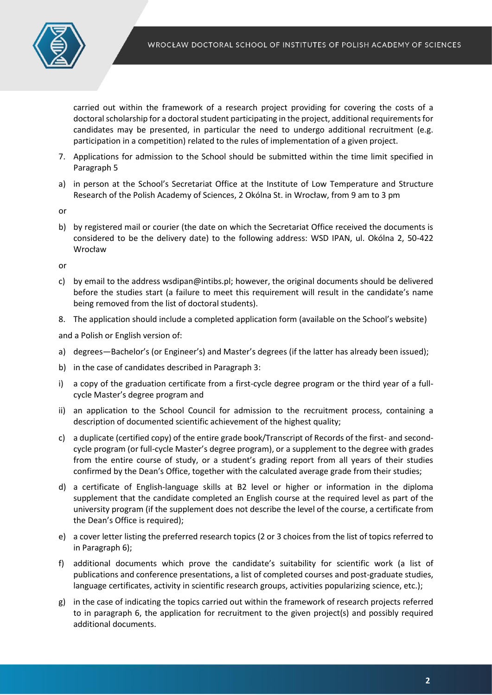

carried out within the framework of a research project providing for covering the costs of a doctoral scholarship for a doctoral student participating in the project, additional requirements for candidates may be presented, in particular the need to undergo additional recruitment (e.g. participation in a competition) related to the rules of implementation of a given project.

- 7. Applications for admission to the School should be submitted within the time limit specified in Paragraph 5
- a) in person at the School's Secretariat Office at the Institute of Low Temperature and Structure Research of the Polish Academy of Sciences, 2 Okólna St. in Wrocław, from 9 am to 3 pm

or

b) by registered mail or courier (the date on which the Secretariat Office received the documents is considered to be the delivery date) to the following address: WSD IPAN, ul. Okólna 2, 50-422 Wrocław

or

- c) by email to the address wsdipan@intibs.pl; however, the original documents should be delivered before the studies start (a failure to meet this requirement will result in the candidate's name being removed from the list of doctoral students).
- 8. The application should include a completed application form (available on the School's website)

and a Polish or English version of:

- a) degrees—Bachelor's (or Engineer's) and Master's degrees (if the latter has already been issued);
- b) in the case of candidates described in Paragraph 3:
- i) a copy of the graduation certificate from a first-cycle degree program or the third year of a fullcycle Master's degree program and
- ii) an application to the School Council for admission to the recruitment process, containing a description of documented scientific achievement of the highest quality;
- c) a duplicate (certified copy) of the entire grade book/Transcript of Records of the first- and secondcycle program (or full-cycle Master's degree program), or a supplement to the degree with grades from the entire course of study, or a student's grading report from all years of their studies confirmed by the Dean's Office, together with the calculated average grade from their studies;
- d) a certificate of English-language skills at B2 level or higher or information in the diploma supplement that the candidate completed an English course at the required level as part of the university program (if the supplement does not describe the level of the course, a certificate from the Dean's Office is required);
- e) a cover letter listing the preferred research topics (2 or 3 choices from the list of topics referred to in Paragraph 6);
- f) additional documents which prove the candidate's suitability for scientific work (a list of publications and conference presentations, a list of completed courses and post-graduate studies, language certificates, activity in scientific research groups, activities popularizing science, etc.);
- g) in the case of indicating the topics carried out within the framework of research projects referred to in paragraph 6, the application for recruitment to the given project(s) and possibly required additional documents.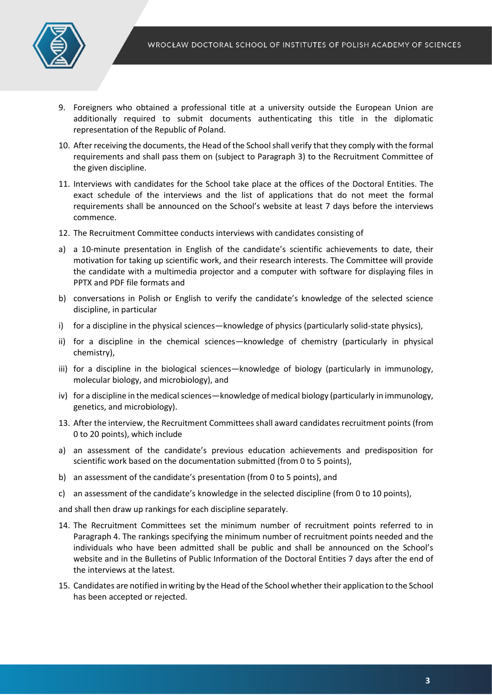

- 9. Foreigners who obtained a professional title at a university outside the European Union are additionally required to submit documents authenticating this title in the diplomatic representation of the Republic of Poland.
- 10. After receiving the documents, the Head of the School shall verify that they comply with the formal requirements and shall pass them on (subject to Paragraph 3) to the Recruitment Committee of the given discipline.
- 11. Interviews with candidates for the School take place at the offices of the Doctoral Entities. The exact schedule of the interviews and the list of applications that do not meet the formal requirements shall be announced on the School's website at least 7 days before the interviews commence.
- 12. The Recruitment Committee conducts interviews with candidates consisting of
- a) a 10-minute presentation in English of the candidate's scientific achievements to date, their motivation for taking up scientific work, and their research interests. The Committee will provide the candidate with a multimedia projector and a computer with software for displaying files in PPTX and PDF file formats and
- b) conversations in Polish or English to verify the candidate's knowledge of the selected science discipline, in particular
- i) for a discipline in the physical sciences—knowledge of physics (particularly solid-state physics),
- ii) for a discipline in the chemical sciences—knowledge of chemistry (particularly in physical chemistry),
- iii) for a discipline in the biological sciences—knowledge of biology (particularly in immunology, molecular biology, and microbiology), and
- iv) for a discipline in the medical sciences—knowledge of medical biology (particularly in immunology, genetics, and microbiology).
- 13. After the interview, the Recruitment Committees shall award candidates recruitment points (from 0 to 20 points), which include
- a) an assessment of the candidate's previous education achievements and predisposition for scientific work based on the documentation submitted (from 0 to 5 points),
- b) an assessment of the candidate's presentation (from 0 to 5 points), and
- c) an assessment of the candidate's knowledge in the selected discipline (from 0 to 10 points),

and shall then draw up rankings for each discipline separately.

- 14. The Recruitment Committees set the minimum number of recruitment points referred to in Paragraph 4. The rankings specifying the minimum number of recruitment points needed and the individuals who have been admitted shall be public and shall be announced on the School's website and in the Bulletins of Public Information of the Doctoral Entities 7 days after the end of the interviews at the latest.
- 15. Candidates are notified in writing by the Head of the School whether their application to the School has been accepted or rejected.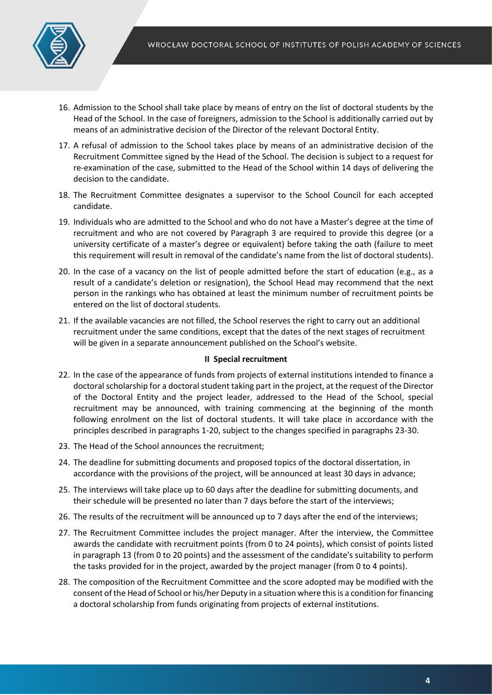

- 16. Admission to the School shall take place by means of entry on the list of doctoral students by the Head of the School. In the case of foreigners, admission to the School is additionally carried out by means of an administrative decision of the Director of the relevant Doctoral Entity.
- 17. A refusal of admission to the School takes place by means of an administrative decision of the Recruitment Committee signed by the Head of the School. The decision is subject to a request for re-examination of the case, submitted to the Head of the School within 14 days of delivering the decision to the candidate.
- 18. The Recruitment Committee designates a supervisor to the School Council for each accepted candidate.
- 19. Individuals who are admitted to the School and who do not have a Master's degree at the time of recruitment and who are not covered by Paragraph 3 are required to provide this degree (or a university certificate of a master's degree or equivalent) before taking the oath (failure to meet this requirement will result in removal of the candidate's name from the list of doctoral students).
- 20. In the case of a vacancy on the list of people admitted before the start of education (e.g., as a result of a candidate's deletion or resignation), the School Head may recommend that the next person in the rankings who has obtained at least the minimum number of recruitment points be entered on the list of doctoral students.
- 21. If the available vacancies are not filled, the School reserves the right to carry out an additional recruitment under the same conditions, except that the dates of the next stages of recruitment will be given in a separate announcement published on the School's website.

## **II Special recruitment**

- 22. In the case of the appearance of funds from projects of external institutions intended to finance a doctoral scholarship for a doctoral student taking part in the project, at the request of the Director of the Doctoral Entity and the project leader, addressed to the Head of the School, special recruitment may be announced, with training commencing at the beginning of the month following enrolment on the list of doctoral students. It will take place in accordance with the principles described in paragraphs 1-20, subject to the changes specified in paragraphs 23-30.
- 23. The Head of the School announces the recruitment;
- 24. The deadline for submitting documents and proposed topics of the doctoral dissertation, in accordance with the provisions of the project, will be announced at least 30 days in advance;
- 25. The interviews will take place up to 60 days after the deadline for submitting documents, and their schedule will be presented no later than 7 days before the start of the interviews;
- 26. The results of the recruitment will be announced up to 7 days after the end of the interviews;
- 27. The Recruitment Committee includes the project manager. After the interview, the Committee awards the candidate with recruitment points (from 0 to 24 points), which consist of points listed in paragraph 13 (from 0 to 20 points) and the assessment of the candidate's suitability to perform the tasks provided for in the project, awarded by the project manager (from 0 to 4 points).
- 28. The composition of the Recruitment Committee and the score adopted may be modified with the consent of the Head of School or his/her Deputy in a situation where this is a condition for financing a doctoral scholarship from funds originating from projects of external institutions.